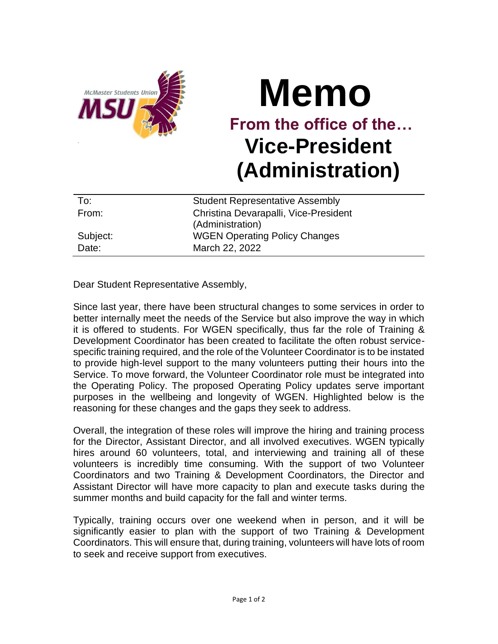

## **Memo From the office of the… Vice-President (Administration)**

| To:      | <b>Student Representative Assembly</b> |
|----------|----------------------------------------|
| From:    | Christina Devarapalli, Vice-President  |
|          | (Administration)                       |
| Subject: | <b>WGEN Operating Policy Changes</b>   |
| Date:    | March 22, 2022                         |

Dear Student Representative Assembly,

Since last year, there have been structural changes to some services in order to better internally meet the needs of the Service but also improve the way in which it is offered to students. For WGEN specifically, thus far the role of Training & Development Coordinator has been created to facilitate the often robust servicespecific training required, and the role of the Volunteer Coordinator is to be instated to provide high-level support to the many volunteers putting their hours into the Service. To move forward, the Volunteer Coordinator role must be integrated into the Operating Policy. The proposed Operating Policy updates serve important purposes in the wellbeing and longevity of WGEN. Highlighted below is the reasoning for these changes and the gaps they seek to address.

Overall, the integration of these roles will improve the hiring and training process for the Director, Assistant Director, and all involved executives. WGEN typically hires around 60 volunteers, total, and interviewing and training all of these volunteers is incredibly time consuming. With the support of two Volunteer Coordinators and two Training & Development Coordinators, the Director and Assistant Director will have more capacity to plan and execute tasks during the summer months and build capacity for the fall and winter terms.

Typically, training occurs over one weekend when in person, and it will be significantly easier to plan with the support of two Training & Development Coordinators. This will ensure that, during training, volunteers will have lots of room to seek and receive support from executives.